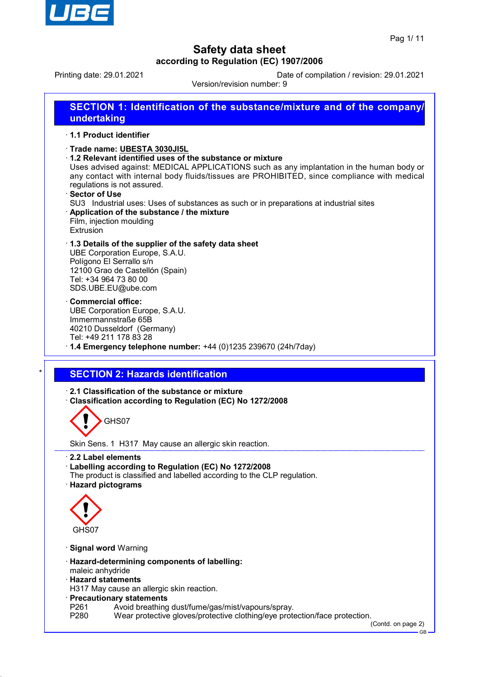

Printing date: 29.01.2021 Date of compilation / revision: 29.01.2021

Version/revision number: 9

**SECTION 1: Identification of the substance/mixture and of the company/ undertaking** · **1.1 Product identifier** · **Trade name: UBESTA 3030JI5L** · **1.2 Relevant identified uses of the substance or mixture** Uses advised against: MEDICAL APPLICATIONS such as any implantation in the human body or any contact with internal body fluids/tissues are PROHIBITED, since compliance with medical regulations is not assured. · **Sector of Use** SU3 Industrial uses: Uses of substances as such or in preparations at industrial sites · **Application of the substance / the mixture** Film, injection moulding Extrusion · **1.3 Details of the supplier of the safety data sheet** UBE Corporation Europe, S.A.U. Polígono El Serrallo s/n 12100 Grao de Castellón (Spain) Tel: +34 964 73 80 00 SDS.UBE.EU@ube.com · **Commercial office:** UBE Corporation Europe, S.A.U. Immermannstraße 65B 40210 Dusseldorf (Germany) Tel: +49 211 178 83 28 · **1.4 Emergency telephone number:** +44 (0)1235 239670 (24h/7day) **SECTION 2: Hazards identification** · **2.1 Classification of the substance or mixture** · **Classification according to Regulation (EC) No 1272/2008** GHS07 Skin Sens. 1 H317 May cause an allergic skin reaction. · **2.2 Label elements** · **Labelling according to Regulation (EC) No 1272/2008** The product is classified and labelled according to the CLP regulation. · **Hazard pictograms** GHS07 · **Signal word** Warning · **Hazard-determining components of labelling:** maleic anhydride · **Hazard statements** H317 May cause an allergic skin reaction. · **Precautionary statements** P261 Avoid breathing dust/fume/gas/mist/vapours/spray.<br>P280 Wear protective gloves/protective clothing/eve prote Wear protective gloves/protective clothing/eye protection/face protection.

(Contd. on page 2)

GB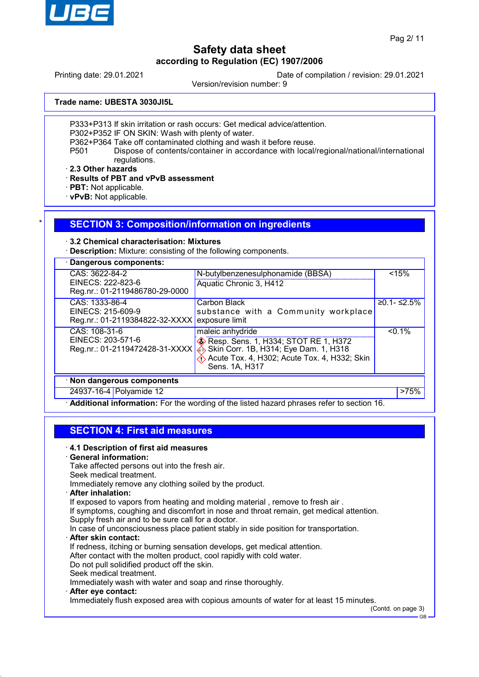

Printing date: 29.01.2021 Date of compilation / revision: 29.01.2021

Version/revision number: 9

**Trade name: UBESTA 3030JI5L**

P333+P313 If skin irritation or rash occurs: Get medical advice/attention.

P302+P352 IF ON SKIN: Wash with plenty of water.

P362+P364 Take off contaminated clothing and wash it before reuse.

P501 Dispose of contents/container in accordance with local/regional/national/international regulations.

· **2.3 Other hazards**

· **Results of PBT and vPvB assessment**

· **PBT:** Not applicable.

· **vPvB:** Not applicable.

### **SECTION 3: Composition/information on ingredients**

#### · **3.2 Chemical characterisation: Mixtures**

· **Description:** Mixture: consisting of the following components.

| · Dangerous components:                                              |                                                                                                                                                                                       |                |                |
|----------------------------------------------------------------------|---------------------------------------------------------------------------------------------------------------------------------------------------------------------------------------|----------------|----------------|
| CAS: 3622-84-2<br>EINECS: 222-823-6                                  | N-butylbenzenesulphonamide (BBSA)<br>Aquatic Chronic 3, H412                                                                                                                          |                | < 15%          |
| Reg.nr.: 01-2119486780-29-0000<br>CAS: 1333-86-4                     | Carbon Black                                                                                                                                                                          |                | $≥0.1 - ≤2.5%$ |
| EINECS: 215-609-9<br>Reg.nr.: 01-2119384822-32-XXXX                  | substance with a Community workplace<br>exposure limit                                                                                                                                |                |                |
| CAS: 108-31-6<br>EINECS: 203-571-6<br>Reg.nr.: 01-2119472428-31-XXXX | maleic anhydride<br><b>Example 20</b> Resp. Sens. 1, H334; STOT RE 1, H372<br>Skin Corr. 1B, H314; Eye Dam. 1, H318<br>Acute Tox. 4, H302; Acute Tox. 4, H332; Skin<br>Sens. 1A, H317 |                | $< 0.1\%$      |
| · Non dangerous components                                           |                                                                                                                                                                                       |                |                |
| 24937-16-4 Polyamide 12                                              | $\cdots$<br>.<br>$\sim$ $\sim$                                                                                                                                                        | $\overline{ }$ | >75%           |

· **Additional information:** For the wording of the listed hazard phrases refer to section 16.

## **SECTION 4: First aid measures**

### · **4.1 Description of first aid measures**

#### · **General information:**

Take affected persons out into the fresh air.

Seek medical treatment.

Immediately remove any clothing soiled by the product.

· **After inhalation:**

If exposed to vapors from heating and molding material, remove to fresh air.

If symptoms, coughing and discomfort in nose and throat remain, get medical attention.

Supply fresh air and to be sure call for a doctor.

In case of unconsciousness place patient stably in side position for transportation.

· **After skin contact:**

If redness, itching or burning sensation develops, get medical attention.

After contact with the molten product, cool rapidly with cold water.

Do not pull solidified product off the skin.

- Seek medical treatment.
- Immediately wash with water and soap and rinse thoroughly.
- · **After eye contact:**

Immediately flush exposed area with copious amounts of water for at least 15 minutes.

(Contd. on page 3)

GB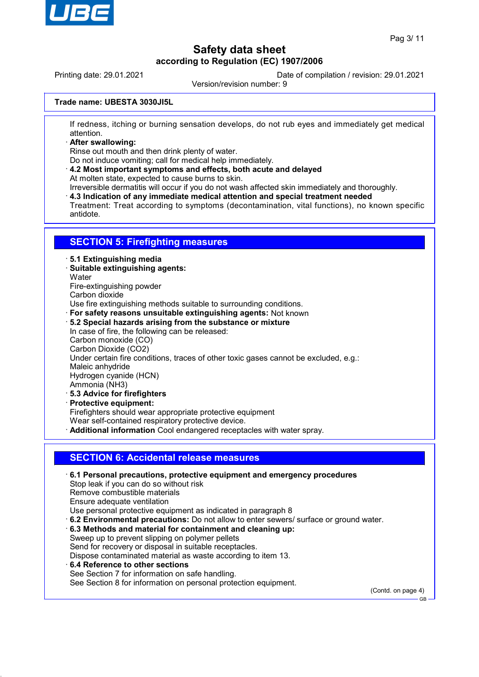

Printing date: 29.01.2021 Date of compilation / revision: 29.01.2021

Version/revision number: 9

#### **Trade name: UBESTA 3030JI5L**

If redness, itching or burning sensation develops, do not rub eyes and immediately get medical attention.

· **After swallowing:**

Rinse out mouth and then drink plenty of water.

Do not induce vomiting; call for medical help immediately.

· **4.2 Most important symptoms and effects, both acute and delayed** At molten state, expected to cause burns to skin.

Irreversible dermatitis will occur if you do not wash affected skin immediately and thoroughly.

· **4.3 Indication of any immediate medical attention and special treatment needed**

Treatment: Treat according to symptoms (decontamination, vital functions), no known specific antidote.

### **SECTION 5: Firefighting measures**

#### · **5.1 Extinguishing media**

- · **Suitable extinguishing agents:**
- **Water**
- Fire-extinguishing powder
- Carbon dioxide

Use fire extinguishing methods suitable to surrounding conditions.

- · **For safety reasons unsuitable extinguishing agents:** Not known
- · **5.2 Special hazards arising from the substance or mixture**
- In case of fire, the following can be released: Carbon monoxide (CO) Carbon Dioxide (CO2) Under certain fire conditions, traces of other toxic gases cannot be excluded, e.g.: Maleic anhydride Hydrogen cyanide (HCN) Ammonia (NH3) · **5.3 Advice for firefighters**
- · **Protective equipment:**

Firefighters should wear appropriate protective equipment

Wear self-contained respiratory protective device.

· **Additional information** Cool endangered receptacles with water spray.

### **SECTION 6: Accidental release measures**

· **6.1 Personal precautions, protective equipment and emergency procedures** Stop leak if you can do so without risk Remove combustible materials Ensure adequate ventilation Use personal protective equipment as indicated in paragraph 8 · **6.2 Environmental precautions:** Do not allow to enter sewers/ surface or ground water. · **6.3 Methods and material for containment and cleaning up:**

- Sweep up to prevent slipping on polymer pellets Send for recovery or disposal in suitable receptacles. Dispose contaminated material as waste according to item 13.
- · **6.4 Reference to other sections** See Section 7 for information on safe handling. See Section 8 for information on personal protection equipment.

(Contd. on page 4)

GB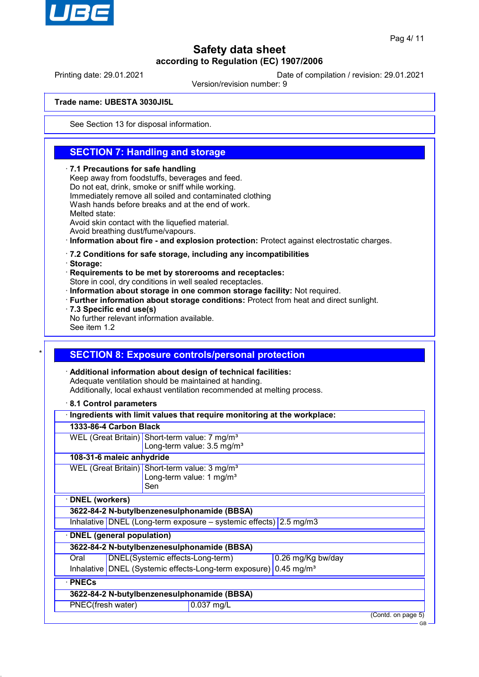

Printing date: 29.01.2021 Date of compilation / revision: 29.01.2021

Version/revision number: 9

#### **Trade name: UBESTA 3030JI5L**

See Section 13 for disposal information.

## **SECTION 7: Handling and storage**

#### · **7.1 Precautions for safe handling**

Keep away from foodstuffs, beverages and feed. Do not eat, drink, smoke or sniff while working. Immediately remove all soiled and contaminated clothing Wash hands before breaks and at the end of work. Melted state: Avoid skin contact with the liquefied material. Avoid breathing dust/fume/vapours.

· **Information about fire - and explosion protection:** Protect against electrostatic charges.

#### · **7.2 Conditions for safe storage, including any incompatibilities**

· **Storage:**

· **Requirements to be met by storerooms and receptacles:**

Store in cool, dry conditions in well sealed receptacles.

- · **Information about storage in one common storage facility:** Not required.
- · **Further information about storage conditions:** Protect from heat and direct sunlight.
- · **7.3 Specific end use(s)**

No further relevant information available.

See item 1.2

### **SECTION 8: Exposure controls/personal protection**

· **Additional information about design of technical facilities:** Adequate ventilation should be maintained at handing. Additionally, local exhaust ventilation recommended at melting process.

· **8.1 Control parameters**

|                                  |                                                       | Ingredients with limit values that require monitoring at the workplace:      |  |                    |
|----------------------------------|-------------------------------------------------------|------------------------------------------------------------------------------|--|--------------------|
| 1333-86-4 Carbon Black           |                                                       |                                                                              |  |                    |
|                                  |                                                       | WEL (Great Britain) Short-term value: 7 mg/m <sup>3</sup>                    |  |                    |
|                                  |                                                       | Long-term value: 3.5 mg/m <sup>3</sup>                                       |  |                    |
| 108-31-6 maleic anhydride        |                                                       |                                                                              |  |                    |
|                                  |                                                       | WEL (Great Britain) Short-term value: 3 mg/m <sup>3</sup>                    |  |                    |
|                                  | Long-term value: 1 mg/m <sup>3</sup>                  |                                                                              |  |                    |
|                                  | Sen                                                   |                                                                              |  |                    |
| <b>DNEL</b> (workers)            |                                                       |                                                                              |  |                    |
|                                  |                                                       | 3622-84-2 N-butylbenzenesulphonamide (BBSA)                                  |  |                    |
|                                  |                                                       | Inhalative DNEL (Long-term exposure $-$ systemic effects) 2.5 mg/m3          |  |                    |
| <b>DNEL</b> (general population) |                                                       |                                                                              |  |                    |
|                                  |                                                       | 3622-84-2 N-butylbenzenesulphonamide (BBSA)                                  |  |                    |
| Oral                             | DNEL(Systemic effects-Long-term)<br>0.26 mg/Kg bw/day |                                                                              |  |                    |
|                                  |                                                       | Inhalative DNEL (Systemic effects-Long-term exposure) 0.45 mg/m <sup>3</sup> |  |                    |
| · PNECs                          |                                                       |                                                                              |  |                    |
|                                  |                                                       | 3622-84-2 N-butylbenzenesulphonamide (BBSA)                                  |  |                    |
| PNEC(fresh water)                |                                                       | 0.037 mg/L                                                                   |  |                    |
|                                  |                                                       |                                                                              |  | (Contd. on page 5) |
|                                  |                                                       |                                                                              |  | <b>GB</b>          |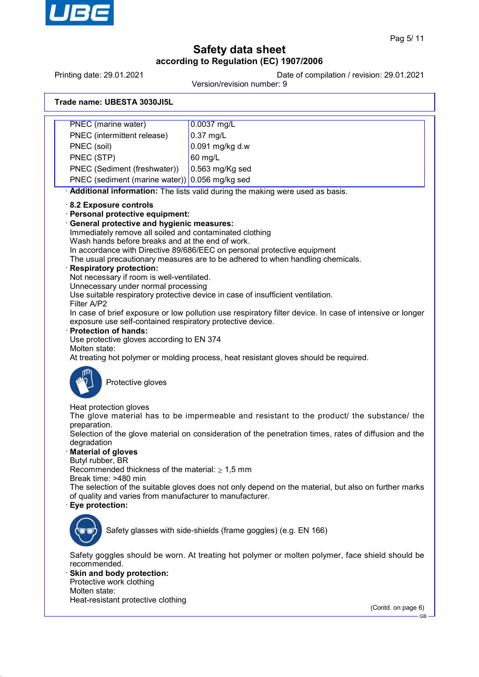

Printing date: 29.01.2021 Date of compilation / revision: 29.01.2021

Version/revision number: 9

| Trade name: UBESTA 3030JI5L |  |  |
|-----------------------------|--|--|
|-----------------------------|--|--|

PNEC (marine water) 0.0037 mg/L PNEC (intermittent release) 0.37 mg/L PNEC (soil) 0.091 mg/kg d.w PNEC (STP) 60 mg/L PNEC (Sediment (freshwater)) 0.563 mg/Kg sed PNEC (sediment (marine water)) 0.056 mg/kg sed · **Additional information:** The lists valid during the making were used as basis. · **8.2 Exposure controls** · **Personal protective equipment:** · **General protective and hygienic measures:** Immediately remove all soiled and contaminated clothing Wash hands before breaks and at the end of work. In accordance with Directive 89/686/EEC on personal protective equipment The usual precautionary measures are to be adhered to when handling chemicals. · **Respiratory protection:** Not necessary if room is well-ventilated. Unnecessary under normal processing Use suitable respiratory protective device in case of insufficient ventilation. Filter A/P2 In case of brief exposure or low pollution use respiratory filter device. In case of intensive or longer exposure use self-contained respiratory protective device. · **Protection of hands:** Use protective gloves according to EN 374 Molten state: At treating hot polymer or molding process, heat resistant gloves should be required. Protective gloves Heat protection gloves The glove material has to be impermeable and resistant to the product/ the substance/ the preparation. Selection of the glove material on consideration of the penetration times, rates of diffusion and the degradation · **Material of gloves** Butyl rubber, BR Recommended thickness of the material:  $\geq 1,5$  mm Break time: >480 min The selection of the suitable gloves does not only depend on the material, but also on further marks of quality and varies from manufacturer to manufacturer. · **Eye protection:** Safety glasses with side-shields (frame goggles) (e.g. EN 166) Safety goggles should be worn. At treating hot polymer or molten polymer, face shield should be recommended. **Skin and body protection:** Protective work clothing Molten state: Heat-resistant protective clothing (Contd. on page 6) GB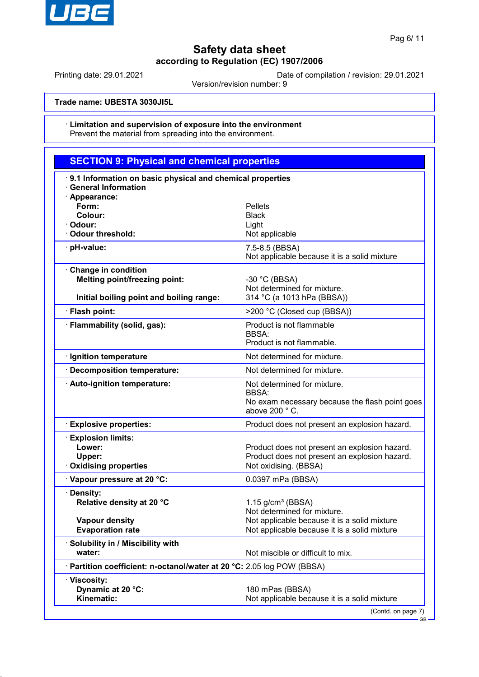

GB

# **Safety data sheet according to Regulation (EC) 1907/2006**

Printing date: 29.01.2021 Date of compilation / revision: 29.01.2021

Version/revision number: 9

**Trade name: UBESTA 3030JI5L**

#### · **Limitation and supervision of exposure into the environment** Prevent the material from spreading into the environment.

| <b>SECTION 9: Physical and chemical properties</b>                                                      |                                                                                                                         |
|---------------------------------------------------------------------------------------------------------|-------------------------------------------------------------------------------------------------------------------------|
| 9.1 Information on basic physical and chemical properties<br><b>General Information</b>                 |                                                                                                                         |
| · Appearance:<br>Form:<br>Colour:<br>· Odour:<br>Odour threshold:                                       | <b>Pellets</b><br><b>Black</b><br>Light<br>Not applicable                                                               |
| pH-value:                                                                                               | 7.5-8.5 (BBSA)<br>Not applicable because it is a solid mixture                                                          |
| Change in condition<br><b>Melting point/freezing point:</b><br>Initial boiling point and boiling range: | -30 °C (BBSA)<br>Not determined for mixture.<br>314 °C (a 1013 hPa (BBSA))                                              |
| · Flash point:                                                                                          | >200 °C (Closed cup (BBSA))                                                                                             |
| · Flammability (solid, gas):                                                                            | Product is not flammable<br><b>BBSA:</b><br>Product is not flammable.                                                   |
| · Ignition temperature                                                                                  | Not determined for mixture.                                                                                             |
| · Decomposition temperature:                                                                            | Not determined for mixture.                                                                                             |
| · Auto-ignition temperature:                                                                            | Not determined for mixture.<br><b>BBSA:</b><br>No exam necessary because the flash point goes<br>above 200 °C.          |
| <b>Explosive properties:</b>                                                                            | Product does not present an explosion hazard.                                                                           |
| <b>Explosion limits:</b><br>Lower:<br>Upper:<br><b>Oxidising properties</b>                             | Product does not present an explosion hazard.<br>Product does not present an explosion hazard.<br>Not oxidising. (BBSA) |
| Vapour pressure at 20 °C:                                                                               | 0.0397 mPa (BBSA)                                                                                                       |
| · Density:<br>Relative density at 20 °C                                                                 | $1.15$ g/cm <sup>3</sup> (BBSA)<br>Not determined for mixture.                                                          |
| <b>Vapour density</b><br><b>Evaporation rate</b>                                                        | Not applicable because it is a solid mixture<br>Not applicable because it is a solid mixture                            |
| · Solubility in / Miscibility with<br>water:                                                            | Not miscible or difficult to mix.                                                                                       |
| · Partition coefficient: n-octanol/water at 20 °C: 2.05 log POW (BBSA)                                  |                                                                                                                         |
| · Viscosity:<br>Dynamic at 20 °C:<br>Kinematic:                                                         | 180 mPas (BBSA)<br>Not applicable because it is a solid mixture<br>(Contd. on page 7)                                   |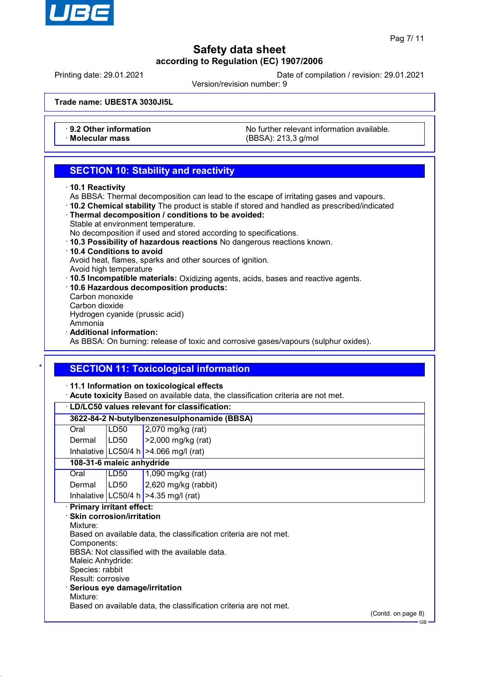

GB

# **Safety data sheet according to Regulation (EC) 1907/2006**

Printing date: 29.01.2021 Date of compilation / revision: 29.01.2021

Version/revision number: 9

**Trade name: UBESTA 3030JI5L**

• **9.2 Other information** No further relevant information available.<br>
Molecular mass **Notecular mass** (RBSA) 213.3 g/mol · **Molecular mass** (BBSA): 213,3 g/mol

## **SECTION 10: Stability and reactivity**

- · **10.1 Reactivity**
- As BBSA: Thermal decomposition can lead to the escape of irritating gases and vapours.
- · **10.2 Chemical stability** The product is stable if stored and handled as prescribed/indicated
- · **Thermal decomposition / conditions to be avoided:**
- Stable at environment temperature.
- No decomposition if used and stored according to specifications.
- · **10.3 Possibility of hazardous reactions** No dangerous reactions known.
- · **10.4 Conditions to avoid**

Avoid heat, flames, sparks and other sources of ignition.

- Avoid high temperature
- · **10.5 Incompatible materials:** Oxidizing agents, acids, bases and reactive agents.
- · **10.6 Hazardous decomposition products:** Carbon monoxide
- Carbon dioxide

Hydrogen cyanide (prussic acid)

Ammonia

· **Additional information:**

As BBSA: On burning: release of toxic and corrosive gases/vapours (sulphur oxides).

## **SECTION 11: Toxicological information**

### · **11.1 Information on toxicological effects**

· **Acute toxicity** Based on available data, the classification criteria are not met.

|      |                   |                                   | · LD/LC50 values relevant for classification:                     |                    |
|------|-------------------|-----------------------------------|-------------------------------------------------------------------|--------------------|
|      |                   |                                   | 3622-84-2 N-butylbenzenesulphonamide (BBSA)                       |                    |
| Oral |                   | LD50                              | 2,070 mg/kg (rat)                                                 |                    |
|      | Dermal            | LD50                              | >2,000 mg/kg (rat)                                                |                    |
|      |                   |                                   | Inhalative LC50/4 h $>4.066$ mg/l (rat)                           |                    |
|      |                   | 108-31-6 maleic anhydride         |                                                                   |                    |
| Oral |                   | LD50                              | 1,090 mg/kg (rat)                                                 |                    |
|      | Dermal            | LD50                              | $2,620$ mg/kg (rabbit)                                            |                    |
|      |                   |                                   | Inhalative   LC50/4 h   $>4.35$ mg/l (rat)                        |                    |
|      |                   | <b>Primary irritant effect:</b>   |                                                                   |                    |
|      |                   | $\cdot$ Skin corrosion/irritation |                                                                   |                    |
|      | Mixture:          |                                   |                                                                   |                    |
|      | Components:       |                                   | Based on available data, the classification criteria are not met. |                    |
|      |                   |                                   | BBSA: Not classified with the available data.                     |                    |
|      | Maleic Anhydride: |                                   |                                                                   |                    |
|      | Species: rabbit   |                                   |                                                                   |                    |
|      | Result: corrosive |                                   |                                                                   |                    |
|      |                   |                                   | Serious eye damage/irritation                                     |                    |
|      | Mixture:          |                                   |                                                                   |                    |
|      |                   |                                   | Based on available data, the classification criteria are not met. |                    |
|      |                   |                                   |                                                                   | (Contd. on page 8) |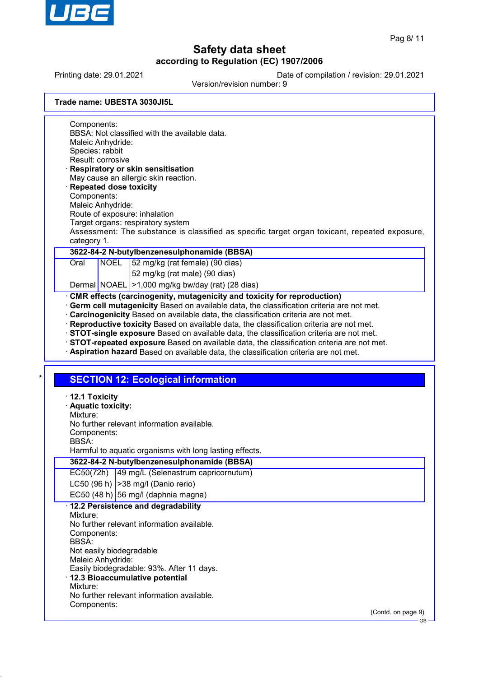

GB

# **Safety data sheet according to Regulation (EC) 1907/2006**

Printing date: 29.01.2021 Date of compilation / revision: 29.01.2021

Version/revision number: 9

|  | Trade name: UBESTA 3030JI5L |
|--|-----------------------------|
|  |                             |

Components: BBSA: Not classified with the available data. Maleic Anhydride: Species: rabbit Result: corrosive · **Respiratory or skin sensitisation**

- May cause an allergic skin reaction. · **Repeated dose toxicity**
- Components:
- Maleic Anhydride:
- Route of exposure: inhalation
- Target organs: respiratory system

Assessment: The substance is classified as specific target organ toxicant, repeated exposure, category 1.

### **3622-84-2 N-butylbenzenesulphonamide (BBSA)**

Oral NOEL 52 mg/kg (rat female) (90 dias)

52 mg/kg (rat male) (90 dias)

Dermal NOAEL > 1,000 mg/kg bw/day (rat) (28 dias)

### · **CMR effects (carcinogenity, mutagenicity and toxicity for reproduction)**

- · **Germ cell mutagenicity** Based on available data, the classification criteria are not met.
- · **Carcinogenicity** Based on available data, the classification criteria are not met.
- · **Reproductive toxicity** Based on available data, the classification criteria are not met.
- · **STOT-single exposure** Based on available data, the classification criteria are not met.
- · **STOT-repeated exposure** Based on available data, the classification criteria are not met.
- · **Aspiration hazard** Based on available data, the classification criteria are not met.

## **SECTION 12: Ecological information**

| $\cdot$ 12.1 Toxicity<br>· Aquatic toxicity:<br>Mixture:<br>No further relevant information available.<br>Components:<br>BBSA:<br>Harmful to aquatic organisms with long lasting effects.                                                                    |                    |
|--------------------------------------------------------------------------------------------------------------------------------------------------------------------------------------------------------------------------------------------------------------|--------------------|
| 3622-84-2 N-butylbenzenesulphonamide (BBSA)                                                                                                                                                                                                                  |                    |
| EC50(72h) 49 mg/L (Selenastrum capricornutum)                                                                                                                                                                                                                |                    |
| LC50 (96 h) $ >38$ mg/l (Danio rerio)                                                                                                                                                                                                                        |                    |
| EC50 $(48 h)$ 56 mg/l (daphnia magna)                                                                                                                                                                                                                        |                    |
| · 12.2 Persistence and degradability<br>Mixture:<br>No further relevant information available.<br>Components:<br><b>BBSA</b><br>Not easily biodegradable<br>Maleic Anhydride:<br>Easily biodegradable: 93%. After 11 days.<br>12.3 Bioaccumulative potential |                    |
| Mixture:<br>No further relevant information available.                                                                                                                                                                                                       |                    |
| Components:                                                                                                                                                                                                                                                  |                    |
|                                                                                                                                                                                                                                                              | (Contd. on page 9) |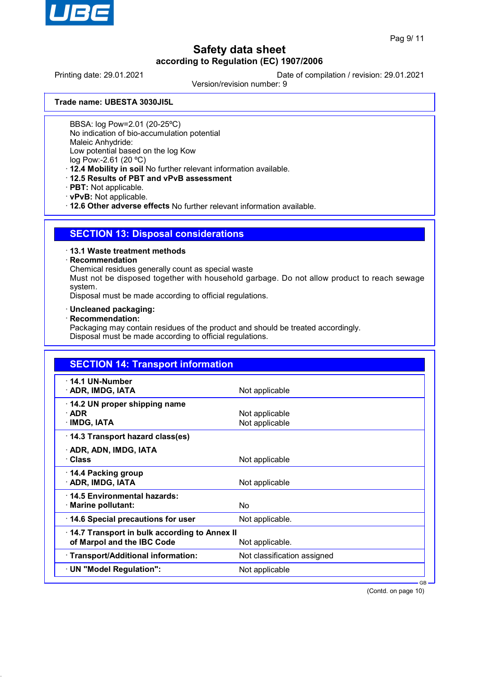

Printing date: 29.01.2021 Date of compilation / revision: 29.01.2021

Version/revision number: 9

**Trade name: UBESTA 3030JI5L**

BBSA: log Pow=2.01 (20-25ºC)

No indication of bio-accumulation potential

Maleic Anhydride:

Low potential based on the log Kow

log Pow:-2.61 (20 ºC)

· **12.4 Mobility in soil** No further relevant information available.

- · **12.5 Results of PBT and vPvB assessment**
- · **PBT:** Not applicable.
- · **vPvB:** Not applicable.

· **12.6 Other adverse effects** No further relevant information available.

## **SECTION 13: Disposal considerations**

### · **13.1 Waste treatment methods**

### · **Recommendation**

Chemical residues generally count as special waste

Must not be disposed together with household garbage. Do not allow product to reach sewage system.

Disposal must be made according to official regulations.

- · **Uncleaned packaging:**
- · **Recommendation:**

Packaging may contain residues of the product and should be treated accordingly. Disposal must be made according to official regulations.

| <b>SECTION 14: Transport information</b>                                   |                                  |  |
|----------------------------------------------------------------------------|----------------------------------|--|
| $\cdot$ 14.1 UN-Number<br>· ADR, IMDG, IATA                                | Not applicable                   |  |
| 14.2 UN proper shipping name<br>$\cdot$ ADR<br>$\cdot$ IMDG, IATA          | Not applicable<br>Not applicable |  |
| 14.3 Transport hazard class(es)                                            |                                  |  |
| · ADR, ADN, IMDG, IATA<br>· Class                                          | Not applicable                   |  |
| 14.4 Packing group<br>· ADR, IMDG, IATA                                    | Not applicable                   |  |
| 14.5 Environmental hazards:<br>$\cdot$ Marine pollutant:                   | No                               |  |
| 14.6 Special precautions for user                                          | Not applicable.                  |  |
| 14.7 Transport in bulk according to Annex II<br>of Marpol and the IBC Code | Not applicable.                  |  |
| · Transport/Additional information:                                        | Not classification assigned      |  |
| · UN "Model Regulation":                                                   | Not applicable                   |  |

(Contd. on page 10)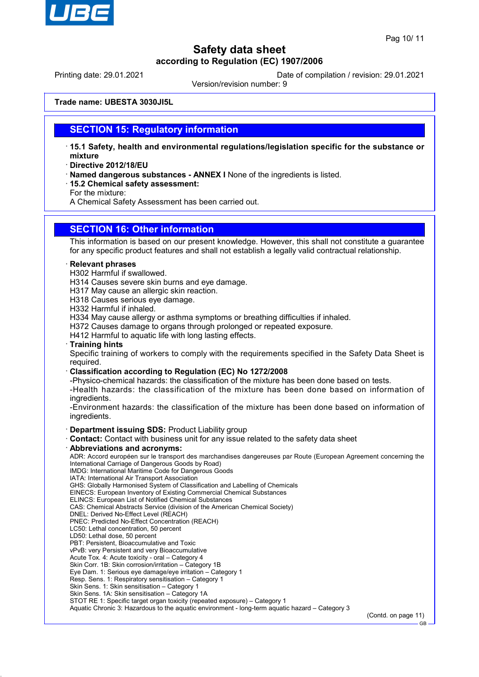

Printing date: 29.01.2021 Date of compilation / revision: 29.01.2021

Version/revision number: 9

**Trade name: UBESTA 3030JI5L**

### **SECTION 15: Regulatory information**

- · **15.1 Safety, health and environmental regulations/legislation specific for the substance or mixture**
- · **Directive 2012/18/EU**
- · **Named dangerous substances ANNEX I** None of the ingredients is listed.
- · **15.2 Chemical safety assessment:**

For the mixture:

A Chemical Safety Assessment has been carried out.

## **SECTION 16: Other information**

This information is based on our present knowledge. However, this shall not constitute a guarantee for any specific product features and shall not establish a legally valid contractual relationship.

#### · **Relevant phrases**

- H302 Harmful if swallowed.
- H314 Causes severe skin burns and eye damage.
- H317 May cause an allergic skin reaction.
- H318 Causes serious eye damage.

H332 Harmful if inhaled.

- H334 May cause allergy or asthma symptoms or breathing difficulties if inhaled.
- H372 Causes damage to organs through prolonged or repeated exposure.
- H412 Harmful to aquatic life with long lasting effects.
- · **Training hints**

Specific training of workers to comply with the requirements specified in the Safety Data Sheet is required.

- · **Classification according to Regulation (EC) No 1272/2008**
- -Physico-chemical hazards: the classification of the mixture has been done based on tests.

-Health hazards: the classification of the mixture has been done based on information of ingredients.

-Environment hazards: the classification of the mixture has been done based on information of ingredients.

#### · **Department issuing SDS:** Product Liability group

- · **Contact:** Contact with business unit for any issue related to the safety data sheet
- · **Abbreviations and acronyms:**

ADR: Accord européen sur le transport des marchandises dangereuses par Route (European Agreement concerning the International Carriage of Dangerous Goods by Road)

IMDG: International Maritime Code for Dangerous Goods

- IATA: International Air Transport Association GHS: Globally Harmonised System of Classification and Labelling of Chemicals
- EINECS: European Inventory of Existing Commercial Chemical Substances
- ELINCS: European List of Notified Chemical Substances
- CAS: Chemical Abstracts Service (division of the American Chemical Society)
- DNEL: Derived No-Effect Level (REACH)
- PNEC: Predicted No-Effect Concentration (REACH)
- LC50: Lethal concentration, 50 percent
- LD50: Lethal dose, 50 percent
- PBT: Persistent, Bioaccumulative and Toxic
- vPvB: very Persistent and very Bioaccumulative
- Acute Tox. 4: Acute toxicity oral Category 4
- Skin Corr. 1B: Skin corrosion/irritation Category 1B
- Eye Dam. 1: Serious eye damage/eye irritation Category 1
- Resp. Sens. 1: Respiratory sensitisation Category 1
- Skin Sens. 1: Skin sensitisation Category 1
- Skin Sens. 1A: Skin sensitisation Category 1A

STOT RE 1: Specific target organ toxicity (repeated exposure) – Category 1

Aquatic Chronic 3: Hazardous to the aquatic environment - long-term aquatic hazard – Category 3